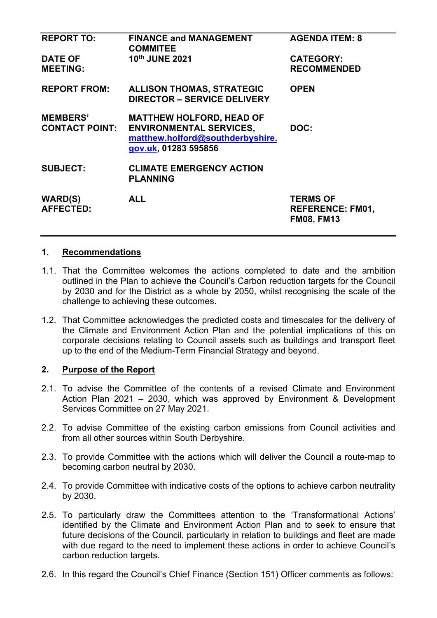| <b>REPORT TO:</b>                        | <b>FINANCE and MANAGEMENT</b><br><b>COMMITEE</b>                                                                              | <b>AGENDA ITEM: 8</b>                                           |
|------------------------------------------|-------------------------------------------------------------------------------------------------------------------------------|-----------------------------------------------------------------|
| <b>DATE OF</b><br><b>MEETING:</b>        | 10th JUNE 2021                                                                                                                | <b>CATEGORY:</b><br><b>RECOMMENDED</b>                          |
| <b>REPORT FROM:</b>                      | <b>ALLISON THOMAS, STRATEGIC</b><br><b>DIRECTOR - SERVICE DELIVERY</b>                                                        | <b>OPEN</b>                                                     |
| <b>MEMBERS'</b><br><b>CONTACT POINT:</b> | <b>MATTHEW HOLFORD, HEAD OF</b><br><b>ENVIRONMENTAL SERVICES,</b><br>matthew.holford@southderbyshire.<br>gov.uk, 01283 595856 | DOC:                                                            |
| <b>SUBJECT:</b>                          | <b>CLIMATE EMERGENCY ACTION</b><br><b>PLANNING</b>                                                                            |                                                                 |
| <b>WARD(S)</b><br><b>AFFECTED:</b>       | <b>ALL</b>                                                                                                                    | <b>TERMS OF</b><br><b>REFERENCE: FM01,</b><br><b>FM08, FM13</b> |

### **1. Recommendations**

- 1.1. That the Committee welcomes the actions completed to date and the ambition outlined in the Plan to achieve the Council's Carbon reduction targets for the Council by 2030 and for the District as a whole by 2050, whilst recognising the scale of the challenge to achieving these outcomes.
- 1.2. That Committee acknowledges the predicted costs and timescales for the delivery of the Climate and Environment Action Plan and the potential implications of this on corporate decisions relating to Council assets such as buildings and transport fleet up to the end of the Medium-Term Financial Strategy and beyond.

### **2. Purpose of the Report**

- 2.1. To advise the Committee of the contents of a revised Climate and Environment Action Plan 2021 – 2030, which was approved by Environment & Development Services Committee on 27 May 2021.
- 2.2. To advise Committee of the existing carbon emissions from Council activities and from all other sources within South Derbyshire.
- 2.3. To provide Committee with the actions which will deliver the Council a route-map to becoming carbon neutral by 2030.
- 2.4. To provide Committee with indicative costs of the options to achieve carbon neutrality by 2030.
- 2.5. To particularly draw the Committees attention to the 'Transformational Actions' identified by the Climate and Environment Action Plan and to seek to ensure that future decisions of the Council, particularly in relation to buildings and fleet are made with due regard to the need to implement these actions in order to achieve Council's carbon reduction targets.
- 2.6. In this regard the Council's Chief Finance (Section 151) Officer comments as follows: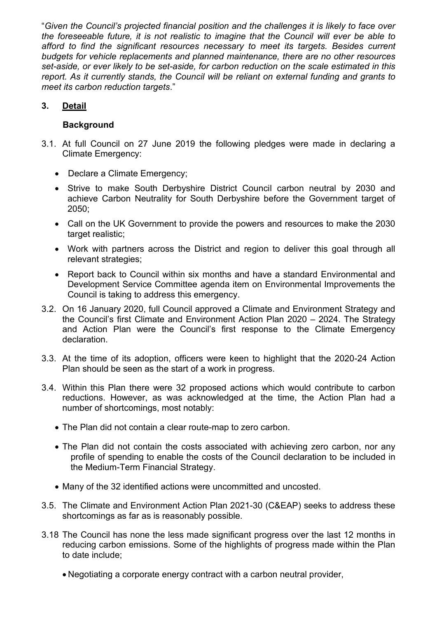"*Given the Council's projected financial position and the challenges it is likely to face over the foreseeable future, it is not realistic to imagine that the Council will ever be able to afford to find the significant resources necessary to meet its targets. Besides current budgets for vehicle replacements and planned maintenance, there are no other resources set-aside, or ever likely to be set-aside, for carbon reduction on the scale estimated in this report. As it currently stands, the Council will be reliant on external funding and grants to meet its carbon reduction targets*."

# **3. Detail**

## **Background**

- 3.1. At full Council on 27 June 2019 the following pledges were made in declaring a Climate Emergency:
	- Declare a Climate Emergency:
	- Strive to make South Derbyshire District Council carbon neutral by 2030 and achieve Carbon Neutrality for South Derbyshire before the Government target of 2050;
	- Call on the UK Government to provide the powers and resources to make the 2030 target realistic;
	- Work with partners across the District and region to deliver this goal through all relevant strategies;
	- Report back to Council within six months and have a standard Environmental and Development Service Committee agenda item on Environmental Improvements the Council is taking to address this emergency.
- 3.2. On 16 January 2020, full Council approved a Climate and Environment Strategy and the Council's first Climate and Environment Action Plan 2020 – 2024. The Strategy and Action Plan were the Council's first response to the Climate Emergency declaration.
- 3.3. At the time of its adoption, officers were keen to highlight that the 2020-24 Action Plan should be seen as the start of a work in progress.
- 3.4. Within this Plan there were 32 proposed actions which would contribute to carbon reductions. However, as was acknowledged at the time, the Action Plan had a number of shortcomings, most notably:
	- The Plan did not contain a clear route-map to zero carbon.
	- The Plan did not contain the costs associated with achieving zero carbon, nor any profile of spending to enable the costs of the Council declaration to be included in the Medium-Term Financial Strategy.
	- Many of the 32 identified actions were uncommitted and uncosted.
- 3.5. The Climate and Environment Action Plan 2021-30 (C&EAP) seeks to address these shortcomings as far as is reasonably possible.
- 3.18 The Council has none the less made significant progress over the last 12 months in reducing carbon emissions. Some of the highlights of progress made within the Plan to date include;
	- Negotiating a corporate energy contract with a carbon neutral provider,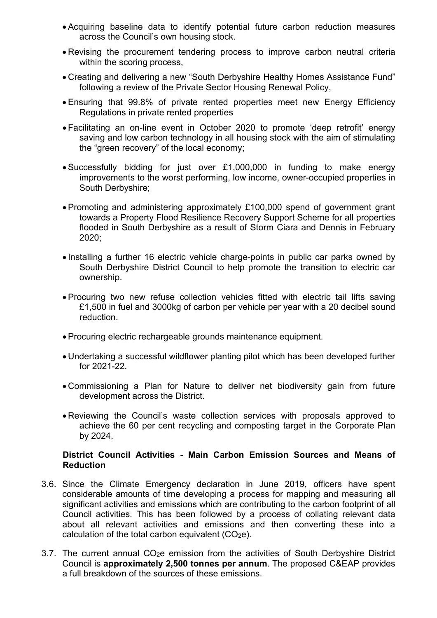- Acquiring baseline data to identify potential future carbon reduction measures across the Council's own housing stock.
- Revising the procurement tendering process to improve carbon neutral criteria within the scoring process.
- Creating and delivering a new "South Derbyshire Healthy Homes Assistance Fund" following a review of the Private Sector Housing Renewal Policy,
- Ensuring that 99.8% of private rented properties meet new Energy Efficiency Regulations in private rented properties
- Facilitating an on-line event in October 2020 to promote 'deep retrofit' energy saving and low carbon technology in all housing stock with the aim of stimulating the "green recovery" of the local economy;
- Successfully bidding for just over £1,000,000 in funding to make energy improvements to the worst performing, low income, owner-occupied properties in South Derbyshire;
- Promoting and administering approximately £100,000 spend of government grant towards a Property Flood Resilience Recovery Support Scheme for all properties flooded in South Derbyshire as a result of Storm Ciara and Dennis in February 2020;
- Installing a further 16 electric vehicle charge-points in public car parks owned by South Derbyshire District Council to help promote the transition to electric car ownership.
- Procuring two new refuse collection vehicles fitted with electric tail lifts saving £1,500 in fuel and 3000kg of carbon per vehicle per year with a 20 decibel sound reduction.
- Procuring electric rechargeable grounds maintenance equipment.
- Undertaking a successful wildflower planting pilot which has been developed further for 2021-22.
- Commissioning a Plan for Nature to deliver net biodiversity gain from future development across the District.
- Reviewing the Council's waste collection services with proposals approved to achieve the 60 per cent recycling and composting target in the Corporate Plan by 2024.

### **District Council Activities - Main Carbon Emission Sources and Means of Reduction**

- 3.6. Since the Climate Emergency declaration in June 2019, officers have spent considerable amounts of time developing a process for mapping and measuring all significant activities and emissions which are contributing to the carbon footprint of all Council activities. This has been followed by a process of collating relevant data about all relevant activities and emissions and then converting these into a calculation of the total carbon equivalent  $(CO<sub>2</sub>e)$ .
- $3.7.$  The current annual  $CO<sub>2</sub>e$  emission from the activities of South Derbyshire District Council is **approximately 2,500 tonnes per annum**. The proposed C&EAP provides a full breakdown of the sources of these emissions.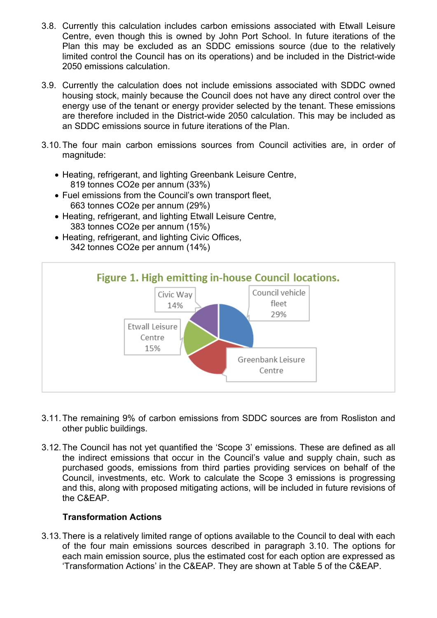- 3.8. Currently this calculation includes carbon emissions associated with Etwall Leisure Centre, even though this is owned by John Port School. In future iterations of the Plan this may be excluded as an SDDC emissions source (due to the relatively limited control the Council has on its operations) and be included in the District-wide 2050 emissions calculation.
- 3.9. Currently the calculation does not include emissions associated with SDDC owned housing stock, mainly because the Council does not have any direct control over the energy use of the tenant or energy provider selected by the tenant. These emissions are therefore included in the District-wide 2050 calculation. This may be included as an SDDC emissions source in future iterations of the Plan.
- 3.10. The four main carbon emissions sources from Council activities are, in order of magnitude:
	- Heating, refrigerant, and lighting Greenbank Leisure Centre, 819 tonnes CO2e per annum (33%)
	- Fuel emissions from the Council's own transport fleet, 663 tonnes CO2e per annum (29%)
	- Heating, refrigerant, and lighting Etwall Leisure Centre, 383 tonnes CO2e per annum (15%)
	- Heating, refrigerant, and lighting Civic Offices, 342 tonnes CO2e per annum (14%)



- 3.11. The remaining 9% of carbon emissions from SDDC sources are from Rosliston and other public buildings.
- 3.12. The Council has not yet quantified the 'Scope 3' emissions. These are defined as all the indirect emissions that occur in the Council's value and supply chain, such as purchased goods, emissions from third parties providing services on behalf of the Council, investments, etc. Work to calculate the Scope 3 emissions is progressing and this, along with proposed mitigating actions, will be included in future revisions of the C&EAP.

### **Transformation Actions**

3.13. There is a relatively limited range of options available to the Council to deal with each of the four main emissions sources described in paragraph 3.10. The options for each main emission source, plus the estimated cost for each option are expressed as 'Transformation Actions' in the C&EAP. They are shown at Table 5 of the C&EAP.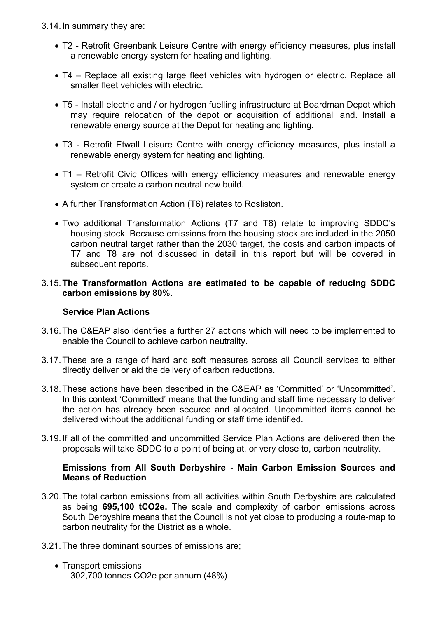- 3.14. In summary they are:
	- T2 Retrofit Greenbank Leisure Centre with energy efficiency measures, plus install a renewable energy system for heating and lighting.
	- T4 Replace all existing large fleet vehicles with hydrogen or electric. Replace all smaller fleet vehicles with electric.
	- T5 Install electric and / or hydrogen fuelling infrastructure at Boardman Depot which may require relocation of the depot or acquisition of additional land. Install a renewable energy source at the Depot for heating and lighting.
	- T3 Retrofit Etwall Leisure Centre with energy efficiency measures, plus install a renewable energy system for heating and lighting.
	- T1 Retrofit Civic Offices with energy efficiency measures and renewable energy system or create a carbon neutral new build.
	- A further Transformation Action (T6) relates to Rosliston.
	- Two additional Transformation Actions (T7 and T8) relate to improving SDDC's housing stock. Because emissions from the housing stock are included in the 2050 carbon neutral target rather than the 2030 target, the costs and carbon impacts of T7 and T8 are not discussed in detail in this report but will be covered in subsequent reports.

### 3.15. **The Transformation Actions are estimated to be capable of reducing SDDC carbon emissions by 80**%.

### **Service Plan Actions**

- 3.16. The C&EAP also identifies a further 27 actions which will need to be implemented to enable the Council to achieve carbon neutrality.
- 3.17. These are a range of hard and soft measures across all Council services to either directly deliver or aid the delivery of carbon reductions.
- 3.18. These actions have been described in the C&EAP as 'Committed' or 'Uncommitted'. In this context 'Committed' means that the funding and staff time necessary to deliver the action has already been secured and allocated. Uncommitted items cannot be delivered without the additional funding or staff time identified.
- 3.19. If all of the committed and uncommitted Service Plan Actions are delivered then the proposals will take SDDC to a point of being at, or very close to, carbon neutrality.

## **Emissions from All South Derbyshire - Main Carbon Emission Sources and Means of Reduction**

3.20. The total carbon emissions from all activities within South Derbyshire are calculated as being **695,100 tCO2e.** The scale and complexity of carbon emissions across South Derbyshire means that the Council is not yet close to producing a route-map to carbon neutrality for the District as a whole.

### 3.21. The three dominant sources of emissions are;

• Transport emissions 302,700 tonnes CO2e per annum (48%)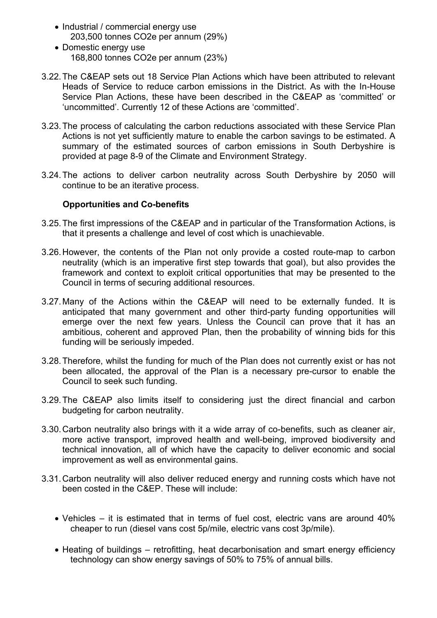- Industrial / commercial energy use 203,500 tonnes CO2e per annum (29%)
- Domestic energy use 168,800 tonnes CO2e per annum (23%)
- 3.22. The C&EAP sets out 18 Service Plan Actions which have been attributed to relevant Heads of Service to reduce carbon emissions in the District. As with the In-House Service Plan Actions, these have been described in the C&EAP as 'committed' or 'uncommitted'. Currently 12 of these Actions are 'committed'.
- 3.23. The process of calculating the carbon reductions associated with these Service Plan Actions is not yet sufficiently mature to enable the carbon savings to be estimated. A summary of the estimated sources of carbon emissions in South Derbyshire is provided at page 8-9 of the Climate and Environment Strategy.
- 3.24. The actions to deliver carbon neutrality across South Derbyshire by 2050 will continue to be an iterative process.

## **Opportunities and Co-benefits**

- 3.25. The first impressions of the C&EAP and in particular of the Transformation Actions, is that it presents a challenge and level of cost which is unachievable.
- 3.26. However, the contents of the Plan not only provide a costed route-map to carbon neutrality (which is an imperative first step towards that goal), but also provides the framework and context to exploit critical opportunities that may be presented to the Council in terms of securing additional resources.
- 3.27. Many of the Actions within the C&EAP will need to be externally funded. It is anticipated that many government and other third-party funding opportunities will emerge over the next few years. Unless the Council can prove that it has an ambitious, coherent and approved Plan, then the probability of winning bids for this funding will be seriously impeded.
- 3.28. Therefore, whilst the funding for much of the Plan does not currently exist or has not been allocated, the approval of the Plan is a necessary pre-cursor to enable the Council to seek such funding.
- 3.29. The C&EAP also limits itself to considering just the direct financial and carbon budgeting for carbon neutrality.
- 3.30. Carbon neutrality also brings with it a wide array of co-benefits, such as cleaner air, more active transport, improved health and well-being, improved biodiversity and technical innovation, all of which have the capacity to deliver economic and social improvement as well as environmental gains.
- 3.31. Carbon neutrality will also deliver reduced energy and running costs which have not been costed in the C&EP. These will include:
	- Vehicles it is estimated that in terms of fuel cost, electric vans are around 40% cheaper to run (diesel vans cost 5p/mile, electric vans cost 3p/mile).
	- Heating of buildings retrofitting, heat decarbonisation and smart energy efficiency technology can show energy savings of 50% to 75% of annual bills.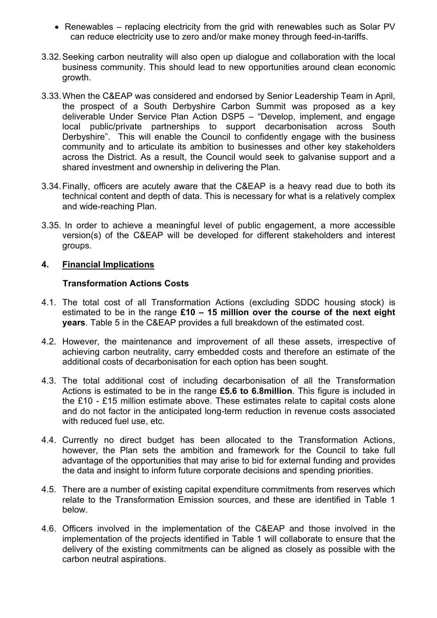- Renewables replacing electricity from the grid with renewables such as Solar PV can reduce electricity use to zero and/or make money through feed-in-tariffs.
- 3.32. Seeking carbon neutrality will also open up dialogue and collaboration with the local business community. This should lead to new opportunities around clean economic growth.
- 3.33. When the C&EAP was considered and endorsed by Senior Leadership Team in April, the prospect of a South Derbyshire Carbon Summit was proposed as a key deliverable Under Service Plan Action DSP5 – "Develop, implement, and engage local public/private partnerships to support decarbonisation across South Derbyshire". This will enable the Council to confidently engage with the business community and to articulate its ambition to businesses and other key stakeholders across the District. As a result, the Council would seek to galvanise support and a shared investment and ownership in delivering the Plan.
- 3.34. Finally, officers are acutely aware that the C&EAP is a heavy read due to both its technical content and depth of data. This is necessary for what is a relatively complex and wide-reaching Plan.
- 3.35. In order to achieve a meaningful level of public engagement, a more accessible version(s) of the C&EAP will be developed for different stakeholders and interest groups.

## **4. Financial Implications**

## **Transformation Actions Costs**

- 4.1. The total cost of all Transformation Actions (excluding SDDC housing stock) is estimated to be in the range **£10 – 15 million over the course of the next eight years**. Table 5 in the C&EAP provides a full breakdown of the estimated cost.
- 4.2. However, the maintenance and improvement of all these assets, irrespective of achieving carbon neutrality, carry embedded costs and therefore an estimate of the additional costs of decarbonisation for each option has been sought.
- 4.3. The total additional cost of including decarbonisation of all the Transformation Actions is estimated to be in the range **£5.6 to 6.8million**. This figure is included in the £10 - £15 million estimate above. These estimates relate to capital costs alone and do not factor in the anticipated long-term reduction in revenue costs associated with reduced fuel use, etc.
- 4.4. Currently no direct budget has been allocated to the Transformation Actions, however, the Plan sets the ambition and framework for the Council to take full advantage of the opportunities that may arise to bid for external funding and provides the data and insight to inform future corporate decisions and spending priorities.
- 4.5. There are a number of existing capital expenditure commitments from reserves which relate to the Transformation Emission sources, and these are identified in Table 1 below.
- 4.6. Officers involved in the implementation of the C&EAP and those involved in the implementation of the projects identified in Table 1 will collaborate to ensure that the delivery of the existing commitments can be aligned as closely as possible with the carbon neutral aspirations.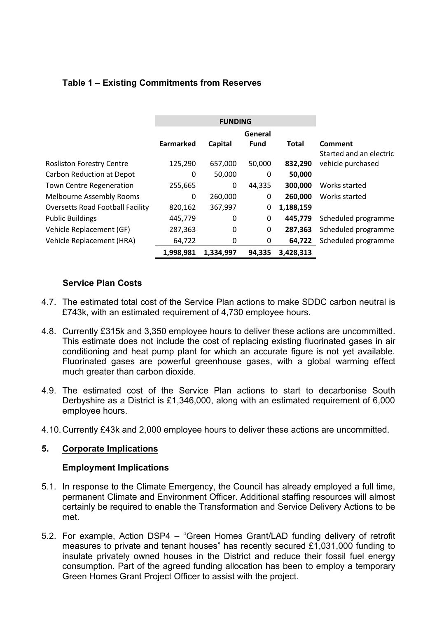# **Table 1 – Existing Commitments from Reserves**

|                                         | <b>FUNDING</b> |           |             |              |                         |
|-----------------------------------------|----------------|-----------|-------------|--------------|-------------------------|
|                                         | General        |           |             |              |                         |
|                                         | Earmarked      | Capital   | <b>Fund</b> | <b>Total</b> | Comment                 |
|                                         |                |           |             |              | Started and an electric |
| <b>Rosliston Forestry Centre</b>        | 125,290        | 657,000   | 50,000      | 832,290      | vehicle purchased       |
| <b>Carbon Reduction at Depot</b>        | 0              | 50,000    | 0           | 50,000       |                         |
| <b>Town Centre Regeneration</b>         | 255,665        | 0         | 44,335      | 300,000      | Works started           |
| <b>Melbourne Assembly Rooms</b>         | 0              | 260,000   | 0           | 260,000      | Works started           |
| <b>Oversetts Road Football Facility</b> | 820,162        | 367,997   | 0           | 1,188,159    |                         |
| <b>Public Buildings</b>                 | 445,779        | 0         | 0           | 445,779      | Scheduled programme     |
| Vehicle Replacement (GF)                | 287,363        | 0         | 0           | 287,363      | Scheduled programme     |
| Vehicle Replacement (HRA)               | 64,722         | 0         | 0           | 64,722       | Scheduled programme     |
|                                         | 1,998,981      | 1,334,997 | 94,335      | 3,428,313    |                         |

## **Service Plan Costs**

- 4.7. The estimated total cost of the Service Plan actions to make SDDC carbon neutral is £743k, with an estimated requirement of 4,730 employee hours.
- 4.8. Currently £315k and 3,350 employee hours to deliver these actions are uncommitted. This estimate does not include the cost of replacing existing fluorinated gases in air conditioning and heat pump plant for which an accurate figure is not yet available. Fluorinated gases are powerful greenhouse gases, with a global warming effect much greater than carbon dioxide.
- 4.9. The estimated cost of the Service Plan actions to start to decarbonise South Derbyshire as a District is £1,346,000, along with an estimated requirement of 6,000 employee hours.
- 4.10. Currently £43k and 2,000 employee hours to deliver these actions are uncommitted.

### **5. Corporate Implications**

### **Employment Implications**

- 5.1. In response to the Climate Emergency, the Council has already employed a full time, permanent Climate and Environment Officer. Additional staffing resources will almost certainly be required to enable the Transformation and Service Delivery Actions to be met.
- 5.2. For example, Action DSP4 "Green Homes Grant/LAD funding delivery of retrofit measures to private and tenant houses" has recently secured £1,031,000 funding to insulate privately owned houses in the District and reduce their fossil fuel energy consumption. Part of the agreed funding allocation has been to employ a temporary Green Homes Grant Project Officer to assist with the project.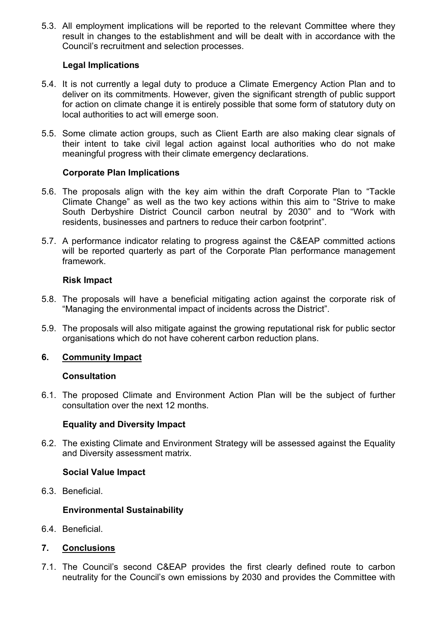5.3. All employment implications will be reported to the relevant Committee where they result in changes to the establishment and will be dealt with in accordance with the Council's recruitment and selection processes.

## **Legal Implications**

- 5.4. It is not currently a legal duty to produce a Climate Emergency Action Plan and to deliver on its commitments. However, given the significant strength of public support for action on climate change it is entirely possible that some form of statutory duty on local authorities to act will emerge soon.
- 5.5. Some climate action groups, such as Client Earth are also making clear signals of their intent to take civil legal action against local authorities who do not make meaningful progress with their climate emergency declarations.

## **Corporate Plan Implications**

- 5.6. The proposals align with the key aim within the draft Corporate Plan to "Tackle Climate Change" as well as the two key actions within this aim to "Strive to make South Derbyshire District Council carbon neutral by 2030" and to "Work with residents, businesses and partners to reduce their carbon footprint".
- 5.7. A performance indicator relating to progress against the C&EAP committed actions will be reported quarterly as part of the Corporate Plan performance management framework.

## **Risk Impact**

- 5.8. The proposals will have a beneficial mitigating action against the corporate risk of "Managing the environmental impact of incidents across the District".
- 5.9. The proposals will also mitigate against the growing reputational risk for public sector organisations which do not have coherent carbon reduction plans.

### **6. Community Impact**

### **Consultation**

6.1. The proposed Climate and Environment Action Plan will be the subject of further consultation over the next 12 months.

### **Equality and Diversity Impact**

6.2. The existing Climate and Environment Strategy will be assessed against the Equality and Diversity assessment matrix.

### **Social Value Impact**

6.3. Beneficial.

### **Environmental Sustainability**

- 6.4. Beneficial.
- **7. Conclusions**
- 7.1. The Council's second C&EAP provides the first clearly defined route to carbon neutrality for the Council's own emissions by 2030 and provides the Committee with